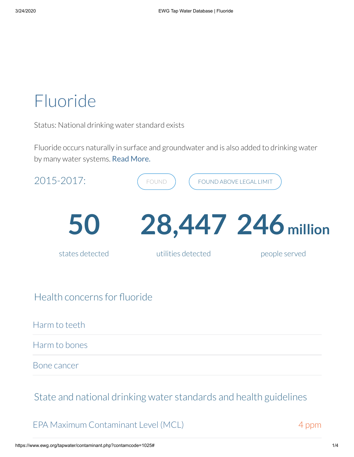# Fluoride

Status: National drinking water standard exists

Fluoride occurs naturally in surface and groundwater and is also added to drinking water by many water systems. Read More.



Bone cancer

State and national drinking water standards and health guidelines

#### EPA Maximum Contaminant Level (MCL)

4 ppm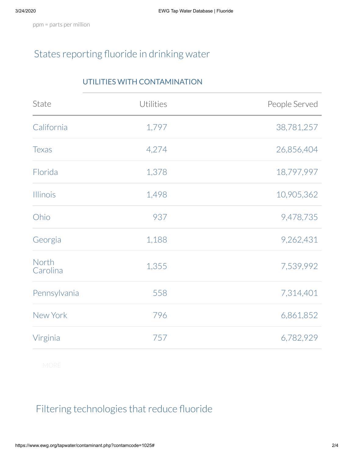ppm = parts per million

## States reporting fluoride in drinking water

#### UTILITIES WITH CONTAMINATION

| State             | Utilities | People Served |
|-------------------|-----------|---------------|
| California        | 1,797     | 38,781,257    |
| <b>Texas</b>      | 4,274     | 26,856,404    |
| Florida           | 1,378     | 18,797,997    |
| <b>Illinois</b>   | 1,498     | 10,905,362    |
| Ohio              | 937       | 9,478,735     |
| Georgia           | 1,188     | 9,262,431     |
| North<br>Carolina | 1,355     | 7,539,992     |
| Pennsylvania      | 558       | 7,314,401     |
| New York          | 796       | 6,861,852     |
| Virginia          | 757       | 6,782,929     |

### Filtering technologies that reduce fluoride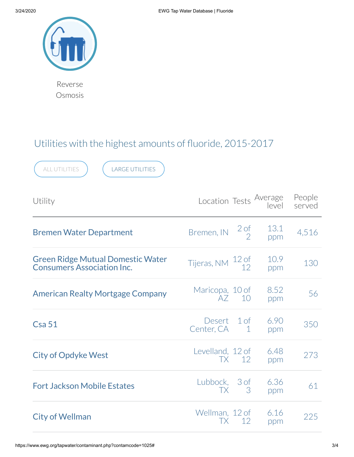

Reverse Osmosis

## Utilities with the highest amounts of fluoride, 2015-2017

| <b>LARGE UTILITIES</b><br>ALL UTILITIES                                       |                                          |                                    |             |                  |  |  |
|-------------------------------------------------------------------------------|------------------------------------------|------------------------------------|-------------|------------------|--|--|
| Utility                                                                       | Location Tests Average<br> level         |                                    |             | People<br>served |  |  |
| <b>Bremen Water Department</b>                                                | Bremen, IN                               | $2$ of<br>$\overline{\phantom{0}}$ | 13.1<br>ppm | 4,516            |  |  |
| <b>Green Ridge Mutual Domestic Water</b><br><b>Consumers Association Inc.</b> | Tijeras, NM $\frac{12 \text{ of } }{12}$ |                                    | 10.9<br>ppm | 130              |  |  |
| <b>American Realty Mortgage Company</b>                                       | Maricopa, 10 of<br>AZ.                   | 10                                 | 8.52<br>ppm | 56               |  |  |
| Csa51                                                                         | Desert<br>Center, CA                     | 1 <sub>of</sub><br>1               | 6.90<br>ppm | 350              |  |  |
| <b>City of Opdyke West</b>                                                    | Levelland, 12 of<br>TX.                  | 12                                 | 6.48<br>ppm | 273              |  |  |
| <b>Fort Jackson Mobile Estates</b>                                            | Lubbock, 3 of<br>TX.                     | 3                                  | 6.36<br>ppm | 61               |  |  |
| <b>City of Wellman</b>                                                        | Wellman, 12 of<br>TX                     | 12                                 | 6.16<br>ppm | 225              |  |  |